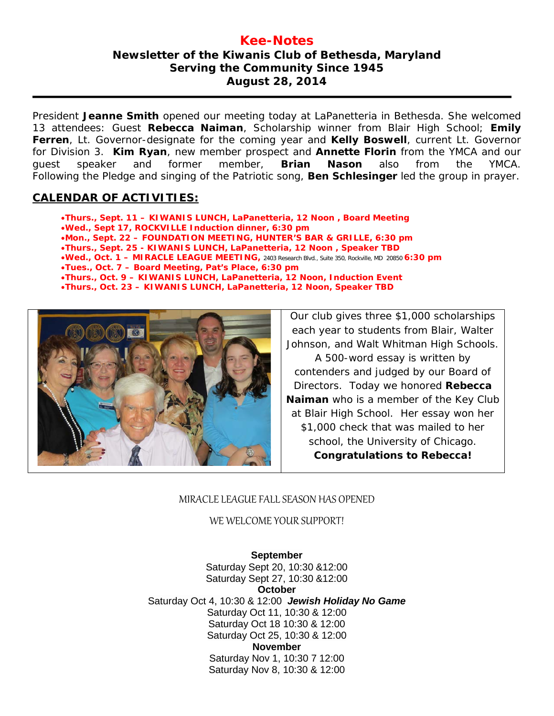## **Kee-Notes Newsletter of the Kiwanis Club of Bethesda, Maryland Serving the Community Since 1945 August 28, 2014**

President **Jeanne Smith** opened our meeting today at LaPanetteria in Bethesda. She welcomed 13 attendees: Guest **Rebecca Naiman**, Scholarship winner from Blair High School; **Emily Ferren**, Lt. Governor-designate for the coming year and **Kelly Boswell**, current Lt. Governor for Division 3. **Kim Ryan**, new member prospect and **Annette Florin** from the YMCA and our guest speaker and former member, **Brian Nason** also from the YMCA. Following the Pledge and singing of the Patriotic song, **Ben Schlesinger** led the group in prayer.

## **CALENDAR OF ACTIVITIES:**

•**Thurs., Sept. 11 – KIWANIS LUNCH, LaPanetteria, 12 Noon , Board Meeting** •**Wed., Sept 17, ROCKVILLE Induction dinner, 6:30 pm** •**Mon., Sept. 22 – FOUNDATION MEETING, HUNTER'S BAR & GRILLE, 6:30 pm** •**Thurs., Sept. 25 - KIWANIS LUNCH, LaPanetteria, 12 Noon , Speaker TBD** •**Wed., Oct. 1 – MIRACLE LEAGUE MEETING,** 2403 Research Blvd., Suite 350, Rockville, MD <sup>20850</sup>**6:30 pm** •**Tues., Oct. 7 – Board Meeting, Pat's Place, 6:30 pm** •**Thurs., Oct. 9 – KIWANIS LUNCH, LaPanetteria, 12 Noon, Induction Event** •**Thurs., Oct. 23 – KIWANIS LUNCH, LaPanetteria, 12 Noon, Speaker TBD**



Our club gives three \$1,000 scholarships each year to students from Blair, Walter Johnson, and Walt Whitman High Schools.

A 500-word essay is written by contenders and judged by our Board of Directors. Today we honored **Rebecca Naiman** who is a member of the Key Club at Blair High School. Her essay won her \$1,000 check that was mailed to her school, the University of Chicago. **Congratulations to Rebecca!**

## MIRACLE LEAGUE FALL SEASON HAS OPENED

WE WELCOME YOUR SUPPORT!

**September** Saturday Sept 20, 10:30 &12:00 Saturday Sept 27, 10:30 &12:00 **October** Saturday Oct 4, 10:30 & 12:00 *Jewish Holiday No Game* Saturday Oct 11, 10:30 & 12:00 Saturday Oct 18 10:30 & 12:00 Saturday Oct 25, 10:30 & 12:00 **November** Saturday Nov 1, 10:30 7 12:00 Saturday Nov 8, 10:30 & 12:00